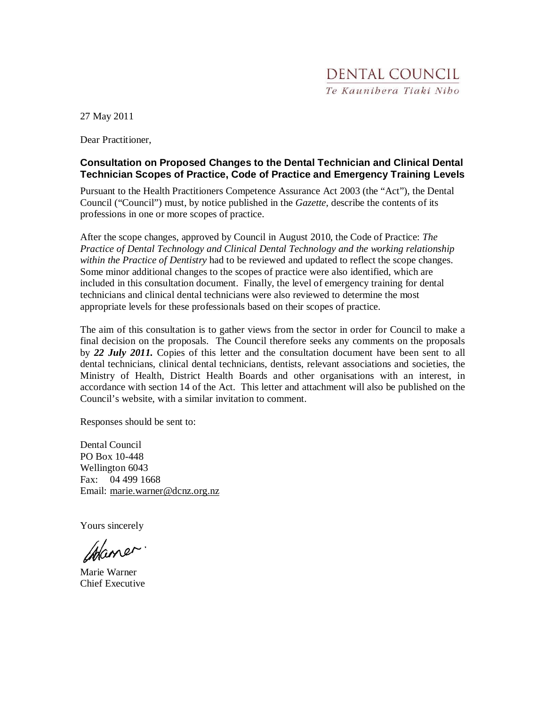27 May 2011

Dear Practitioner,

#### **Consultation on Proposed Changes to the Dental Technician and Clinical Dental Technician Scopes of Practice, Code of Practice and Emergency Training Levels**

Pursuant to the Health Practitioners Competence Assurance Act 2003 (the "Act"), the Dental Council ("Council") must, by notice published in the *Gazette,* describe the contents of its professions in one or more scopes of practice.

After the scope changes, approved by Council in August 2010, the Code of Practice: *The Practice of Dental Technology and Clinical Dental Technology and the working relationship within the Practice of Dentistry* had to be reviewed and updated to reflect the scope changes. Some minor additional changes to the scopes of practice were also identified, which are included in this consultation document. Finally, the level of emergency training for dental technicians and clinical dental technicians were also reviewed to determine the most appropriate levels for these professionals based on their scopes of practice.

The aim of this consultation is to gather views from the sector in order for Council to make a final decision on the proposals. The Council therefore seeks any comments on the proposals by *22 July 2011.* Copies of this letter and the consultation document have been sent to all dental technicians, clinical dental technicians, dentists, relevant associations and societies, the Ministry of Health, District Health Boards and other organisations with an interest, in accordance with section 14 of the Act. This letter and attachment will also be published on the Council's website, with a similar invitation to comment.

Responses should be sent to:

Dental Council PO Box 10-448 Wellington 6043 Fax: 04 499 1668 Email: marie.warner@dcnz.org.nz

Yours sincerely

Waner.

Marie Warner Chief Executive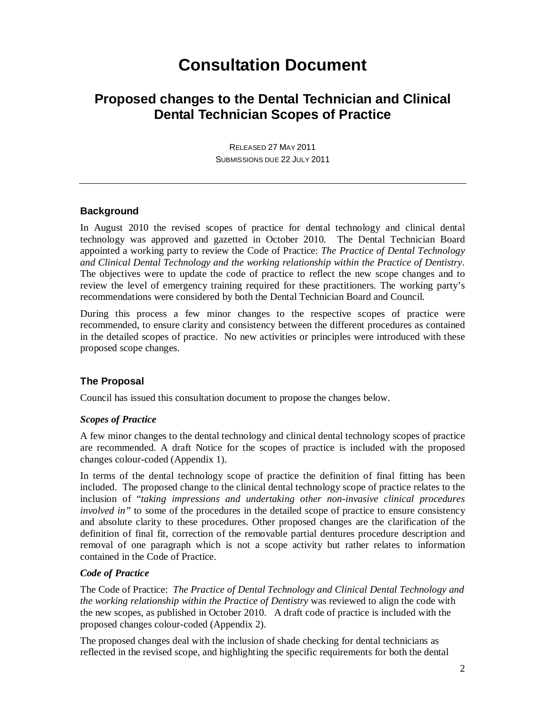## **Consultation Document**

## **Proposed changes to the Dental Technician and Clinical Dental Technician Scopes of Practice**

RELEASED 27 MAY 2011 SUBMISSIONS DUE 22 JULY 2011

#### **Background**

In August 2010 the revised scopes of practice for dental technology and clinical dental technology was approved and gazetted in October 2010. The Dental Technician Board appointed a working party to review the Code of Practice: *The Practice of Dental Technology and Clinical Dental Technology and the working relationship within the Practice of Dentistry.*  The objectives were to update the code of practice to reflect the new scope changes and to review the level of emergency training required for these practitioners. The working party's recommendations were considered by both the Dental Technician Board and Council.

During this process a few minor changes to the respective scopes of practice were recommended, to ensure clarity and consistency between the different procedures as contained in the detailed scopes of practice. No new activities or principles were introduced with these proposed scope changes.

#### **The Proposal**

Council has issued this consultation document to propose the changes below.

#### *Scopes of Practice*

A few minor changes to the dental technology and clinical dental technology scopes of practice are recommended. A draft Notice for the scopes of practice is included with the proposed changes colour-coded (Appendix 1).

In terms of the dental technology scope of practice the definition of final fitting has been included. The proposed change to the clinical dental technology scope of practice relates to the inclusion of "*taking impressions and undertaking other non-invasive clinical procedures involved in"* to some of the procedures in the detailed scope of practice to ensure consistency and absolute clarity to these procedures. Other proposed changes are the clarification of the definition of final fit, correction of the removable partial dentures procedure description and removal of one paragraph which is not a scope activity but rather relates to information contained in the Code of Practice.

#### *Code of Practice*

The Code of Practice: *The Practice of Dental Technology and Clinical Dental Technology and the working relationship within the Practice of Dentistry* was reviewed to align the code with the new scopes, as published in October 2010. A draft code of practice is included with the proposed changes colour-coded (Appendix 2).

The proposed changes deal with the inclusion of shade checking for dental technicians as reflected in the revised scope, and highlighting the specific requirements for both the dental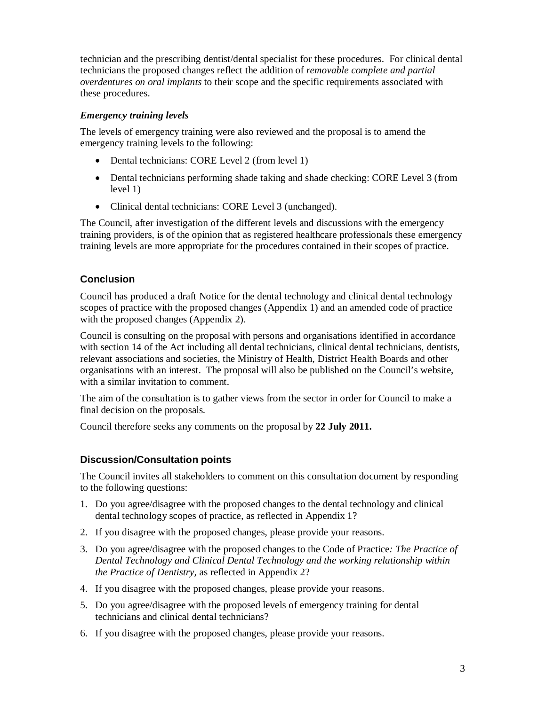technician and the prescribing dentist/dental specialist for these procedures. For clinical dental technicians the proposed changes reflect the addition of *removable complete and partial overdentures on oral implants* to their scope and the specific requirements associated with these procedures.

#### *Emergency training levels*

The levels of emergency training were also reviewed and the proposal is to amend the emergency training levels to the following:

- Dental technicians: CORE Level 2 (from level 1)
- Dental technicians performing shade taking and shade checking: CORE Level 3 (from level 1)
- Clinical dental technicians: CORE Level 3 (unchanged).

The Council, after investigation of the different levels and discussions with the emergency training providers, is of the opinion that as registered healthcare professionals these emergency training levels are more appropriate for the procedures contained in their scopes of practice.

#### **Conclusion**

Council has produced a draft Notice for the dental technology and clinical dental technology scopes of practice with the proposed changes (Appendix 1) and an amended code of practice with the proposed changes (Appendix 2).

Council is consulting on the proposal with persons and organisations identified in accordance with section 14 of the Act including all dental technicians, clinical dental technicians, dentists, relevant associations and societies, the Ministry of Health, District Health Boards and other organisations with an interest. The proposal will also be published on the Council's website, with a similar invitation to comment.

The aim of the consultation is to gather views from the sector in order for Council to make a final decision on the proposals.

Council therefore seeks any comments on the proposal by **22 July 2011.**

#### **Discussion/Consultation points**

The Council invites all stakeholders to comment on this consultation document by responding to the following questions:

- 1. Do you agree/disagree with the proposed changes to the dental technology and clinical dental technology scopes of practice, as reflected in Appendix 1?
- 2. If you disagree with the proposed changes, please provide your reasons.
- 3. Do you agree/disagree with the proposed changes to the Code of Practice*: The Practice of Dental Technology and Clinical Dental Technology and the working relationship within the Practice of Dentistry,* as reflected in Appendix 2?
- 4. If you disagree with the proposed changes, please provide your reasons.
- 5. Do you agree/disagree with the proposed levels of emergency training for dental technicians and clinical dental technicians?
- 6. If you disagree with the proposed changes, please provide your reasons.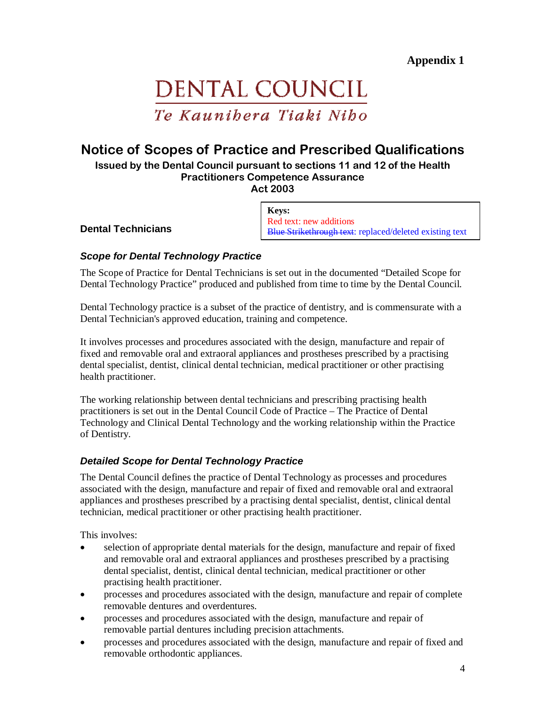# DENTAL COUNCIL Te Kaunibera Tiaki Nibo

## Notice of Scopes of Practice and Prescribed Qualifications

Issued by the Dental Council pursuant to sections 11 and 12 of the Health Practitioners Competence Assurance Act 2003

**Dental Technicians** 

**Keys:** Red text: new additions Blue Strikethrough text: replaced/deleted existing text

#### **Scope for Dental Technology Practice**

The Scope of Practice for Dental Technicians is set out in the documented "Detailed Scope for Dental Technology Practice" produced and published from time to time by the Dental Council.

Dental Technology practice is a subset of the practice of dentistry, and is commensurate with a Dental Technician's approved education, training and competence.

It involves processes and procedures associated with the design, manufacture and repair of fixed and removable oral and extraoral appliances and prostheses prescribed by a practising dental specialist, dentist, clinical dental technician, medical practitioner or other practising health practitioner.

The working relationship between dental technicians and prescribing practising health practitioners is set out in the Dental Council Code of Practice – The Practice of Dental Technology and Clinical Dental Technology and the working relationship within the Practice of Dentistry.

#### **Detailed Scope for Dental Technology Practice**

The Dental Council defines the practice of Dental Technology as processes and procedures associated with the design, manufacture and repair of fixed and removable oral and extraoral appliances and prostheses prescribed by a practising dental specialist, dentist, clinical dental technician, medical practitioner or other practising health practitioner.

This involves:

- selection of appropriate dental materials for the design, manufacture and repair of fixed and removable oral and extraoral appliances and prostheses prescribed by a practising dental specialist, dentist, clinical dental technician, medical practitioner or other practising health practitioner.
- processes and procedures associated with the design, manufacture and repair of complete removable dentures and overdentures.
- processes and procedures associated with the design, manufacture and repair of removable partial dentures including precision attachments.
- processes and procedures associated with the design, manufacture and repair of fixed and removable orthodontic appliances.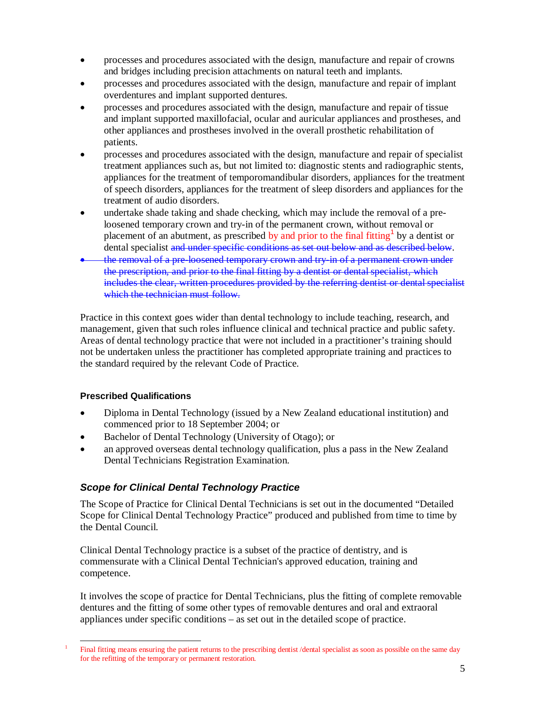- processes and procedures associated with the design, manufacture and repair of crowns and bridges including precision attachments on natural teeth and implants.
- processes and procedures associated with the design, manufacture and repair of implant overdentures and implant supported dentures.
- processes and procedures associated with the design, manufacture and repair of tissue and implant supported maxillofacial, ocular and auricular appliances and prostheses, and other appliances and prostheses involved in the overall prosthetic rehabilitation of patients.
- processes and procedures associated with the design, manufacture and repair of specialist treatment appliances such as, but not limited to: diagnostic stents and radiographic stents, appliances for the treatment of temporomandibular disorders, appliances for the treatment of speech disorders, appliances for the treatment of sleep disorders and appliances for the treatment of audio disorders.
- undertake shade taking and shade checking, which may include the removal of a preloosened temporary crown and try-in of the permanent crown, without removal or placement of an abutment, as prescribed by and prior to the final fitting<sup>1</sup> by a dentist or dental specialist and under specific conditions as set out below and as described below.
- the removal of a pre-loosened temporary crown and try-in of a permanent crown under the prescription, and prior to the final fitting by a dentist or dental specialist, which includes the clear, written procedures provided by the referring dentist or dental specialist which the technician must follow.

Practice in this context goes wider than dental technology to include teaching, research, and management, given that such roles influence clinical and technical practice and public safety. Areas of dental technology practice that were not included in a practitioner's training should not be undertaken unless the practitioner has completed appropriate training and practices to the standard required by the relevant Code of Practice.

#### **Prescribed Qualifications**

- Diploma in Dental Technology (issued by a New Zealand educational institution) and commenced prior to 18 September 2004; or
- Bachelor of Dental Technology (University of Otago); or
- an approved overseas dental technology qualification, plus a pass in the New Zealand Dental Technicians Registration Examination.

#### **Scope for Clinical Dental Technology Practice**

The Scope of Practice for Clinical Dental Technicians is set out in the documented "Detailed Scope for Clinical Dental Technology Practice" produced and published from time to time by the Dental Council.

Clinical Dental Technology practice is a subset of the practice of dentistry, and is commensurate with a Clinical Dental Technician's approved education, training and competence.

It involves the scope of practice for Dental Technicians, plus the fitting of complete removable dentures and the fitting of some other types of removable dentures and oral and extraoral appliances under specific conditions – as set out in the detailed scope of practice.

<sup>-</sup>1 Final fitting means ensuring the patient returns to the prescribing dentist /dental specialist as soon as possible on the same day for the refitting of the temporary or permanent restoration.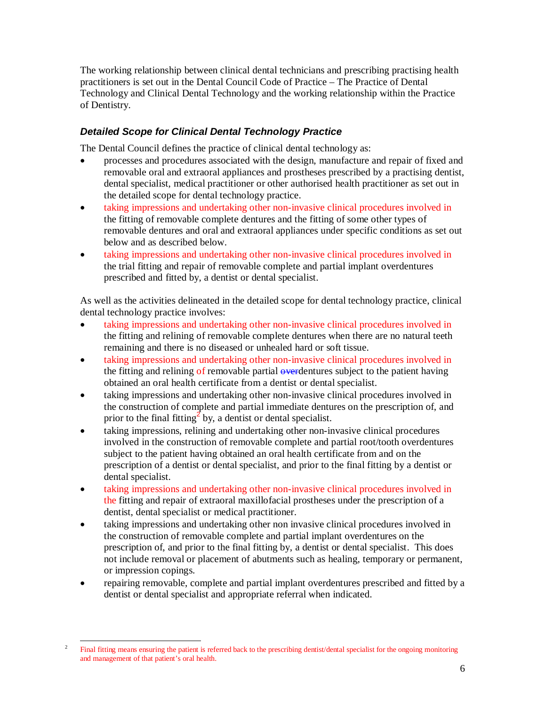The working relationship between clinical dental technicians and prescribing practising health practitioners is set out in the Dental Council Code of Practice – The Practice of Dental Technology and Clinical Dental Technology and the working relationship within the Practice of Dentistry.

#### **Detailed Scope for Clinical Dental Technology Practice**

The Dental Council defines the practice of clinical dental technology as:

- processes and procedures associated with the design, manufacture and repair of fixed and removable oral and extraoral appliances and prostheses prescribed by a practising dentist, dental specialist, medical practitioner or other authorised health practitioner as set out in the detailed scope for dental technology practice.
- taking impressions and undertaking other non-invasive clinical procedures involved in the fitting of removable complete dentures and the fitting of some other types of removable dentures and oral and extraoral appliances under specific conditions as set out below and as described below.
- taking impressions and undertaking other non-invasive clinical procedures involved in the trial fitting and repair of removable complete and partial implant overdentures prescribed and fitted by, a dentist or dental specialist.

As well as the activities delineated in the detailed scope for dental technology practice, clinical dental technology practice involves:

- taking impressions and undertaking other non-invasive clinical procedures involved in the fitting and relining of removable complete dentures when there are no natural teeth remaining and there is no diseased or unhealed hard or soft tissue.
- taking impressions and undertaking other non-invasive clinical procedures involved in the fitting and relining of removable partial  $\omega$  overdentures subject to the patient having obtained an oral health certificate from a dentist or dental specialist.
- taking impressions and undertaking other non-invasive clinical procedures involved in the construction of complete and partial immediate dentures on the prescription of, and prior to the final fitting<sup>2</sup> by, a dentist or dental specialist.
- taking impressions, relining and undertaking other non-invasive clinical procedures involved in the construction of removable complete and partial root/tooth overdentures subject to the patient having obtained an oral health certificate from and on the prescription of a dentist or dental specialist, and prior to the final fitting by a dentist or dental specialist.
- taking impressions and undertaking other non-invasive clinical procedures involved in the fitting and repair of extraoral maxillofacial prostheses under the prescription of a dentist, dental specialist or medical practitioner.
- taking impressions and undertaking other non invasive clinical procedures involved in the construction of removable complete and partial implant overdentures on the prescription of, and prior to the final fitting by, a dentist or dental specialist. This does not include removal or placement of abutments such as healing, temporary or permanent, or impression copings.
- repairing removable, complete and partial implant overdentures prescribed and fitted by a dentist or dental specialist and appropriate referral when indicated.

-

<sup>2</sup> Final fitting means ensuring the patient is referred back to the prescribing dentist/dental specialist for the ongoing monitoring and management of that patient's oral health.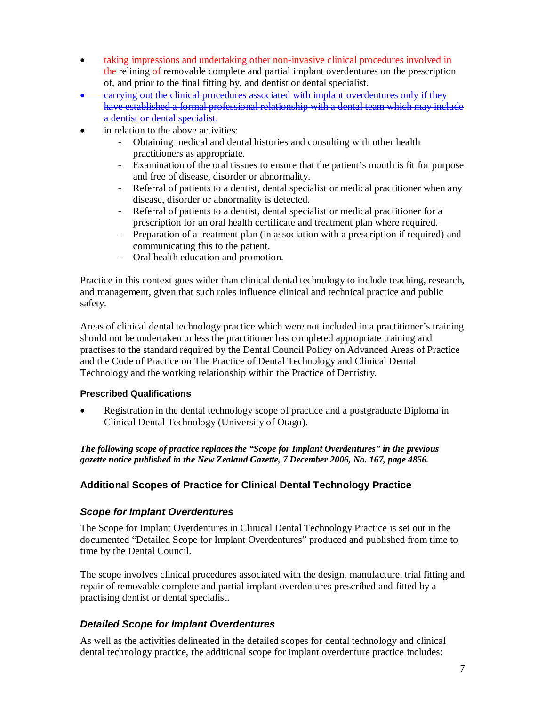- taking impressions and undertaking other non-invasive clinical procedures involved in the relining of removable complete and partial implant overdentures on the prescription of, and prior to the final fitting by, and dentist or dental specialist.
- carrying out the clinical procedures associated with implant overdentures only if they have established a formal professional relationship with a dental team which may include a dentist or dental specialist.
- in relation to the above activities:
	- Obtaining medical and dental histories and consulting with other health practitioners as appropriate.
	- Examination of the oral tissues to ensure that the patient's mouth is fit for purpose and free of disease, disorder or abnormality.
	- Referral of patients to a dentist, dental specialist or medical practitioner when any disease, disorder or abnormality is detected.
	- Referral of patients to a dentist, dental specialist or medical practitioner for a prescription for an oral health certificate and treatment plan where required.
	- Preparation of a treatment plan (in association with a prescription if required) and communicating this to the patient.
	- Oral health education and promotion.

Practice in this context goes wider than clinical dental technology to include teaching, research, and management, given that such roles influence clinical and technical practice and public safety.

Areas of clinical dental technology practice which were not included in a practitioner's training should not be undertaken unless the practitioner has completed appropriate training and practises to the standard required by the Dental Council Policy on Advanced Areas of Practice and the Code of Practice on The Practice of Dental Technology and Clinical Dental Technology and the working relationship within the Practice of Dentistry.

#### **Prescribed Qualifications**

• Registration in the dental technology scope of practice and a postgraduate Diploma in Clinical Dental Technology (University of Otago).

*The following scope of practice replaces the "Scope for Implant Overdentures" in the previous gazette notice published in the New Zealand Gazette, 7 December 2006, No. 167, page 4856.*

#### **Additional Scopes of Practice for Clinical Dental Technology Practice**

#### **Scope for Implant Overdentures**

The Scope for Implant Overdentures in Clinical Dental Technology Practice is set out in the documented "Detailed Scope for Implant Overdentures" produced and published from time to time by the Dental Council.

The scope involves clinical procedures associated with the design, manufacture, trial fitting and repair of removable complete and partial implant overdentures prescribed and fitted by a practising dentist or dental specialist.

#### **Detailed Scope for Implant Overdentures**

As well as the activities delineated in the detailed scopes for dental technology and clinical dental technology practice, the additional scope for implant overdenture practice includes: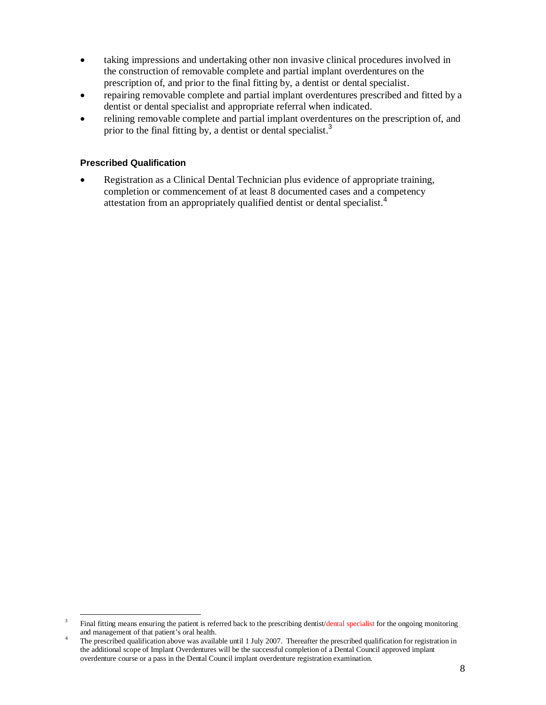- taking impressions and undertaking other non invasive clinical procedures involved in the construction of removable complete and partial implant overdentures on the prescription of, and prior to the final fitting by, a dentist or dental specialist.
- repairing removable complete and partial implant overdentures prescribed and fitted by a dentist or dental specialist and appropriate referral when indicated.
- relining removable complete and partial implant overdentures on the prescription of, and prior to the final fitting by, a dentist or dental specialist.<sup>3</sup>

#### **Prescribed Qualification**

• Registration as a Clinical Dental Technician plus evidence of appropriate training, completion or commencement of at least 8 documented cases and a competency attestation from an appropriately qualified dentist or dental specialist.<sup>4</sup>

<sup>-</sup>3 Final fitting means ensuring the patient is referred back to the prescribing dentist/dental specialist for the ongoing monitoring and management of that patient's oral health.

<sup>&</sup>lt;sup>4</sup> The prescribed qualification above was available until 1 July 2007. Thereafter the prescribed qualification for registration in the additional scope of Implant Overdentures will be the successful completion of a Dental Council approved implant overdenture course or a pass in the Dental Council implant overdenture registration examination.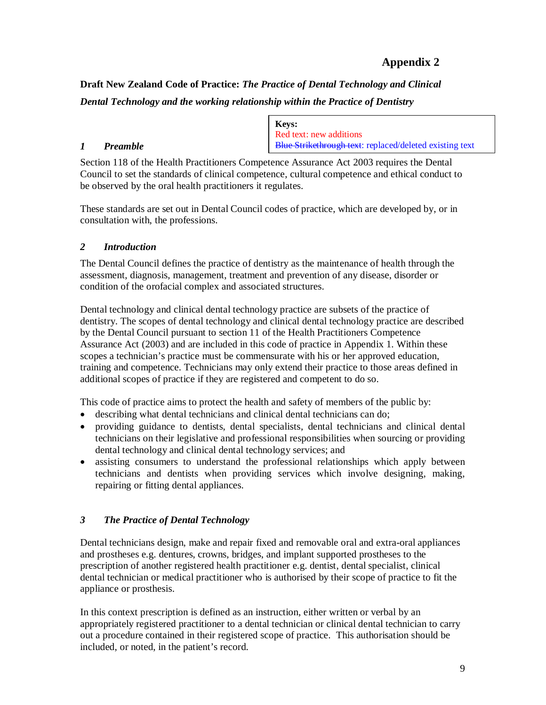### **Appendix 2**

**Draft New Zealand Code of Practice:** *The Practice of Dental Technology and Clinical Dental Technology and the working relationship within the Practice of Dentistry*

#### *1 Preamble*

**Keys:** Red text: new additions Blue Strikethrough text: replaced/deleted existing text

Section 118 of the Health Practitioners Competence Assurance Act 2003 requires the Dental Council to set the standards of clinical competence, cultural competence and ethical conduct to be observed by the oral health practitioners it regulates.

These standards are set out in Dental Council codes of practice, which are developed by, or in consultation with, the professions.

#### *2 Introduction*

The Dental Council defines the practice of dentistry as the maintenance of health through the assessment, diagnosis, management, treatment and prevention of any disease, disorder or condition of the orofacial complex and associated structures.

Dental technology and clinical dental technology practice are subsets of the practice of dentistry. The scopes of dental technology and clinical dental technology practice are described by the Dental Council pursuant to section 11 of the Health Practitioners Competence Assurance Act (2003) and are included in this code of practice in Appendix 1. Within these scopes a technician's practice must be commensurate with his or her approved education, training and competence. Technicians may only extend their practice to those areas defined in additional scopes of practice if they are registered and competent to do so.

This code of practice aims to protect the health and safety of members of the public by:

- describing what dental technicians and clinical dental technicians can do;
- providing guidance to dentists, dental specialists, dental technicians and clinical dental technicians on their legislative and professional responsibilities when sourcing or providing dental technology and clinical dental technology services; and
- assisting consumers to understand the professional relationships which apply between technicians and dentists when providing services which involve designing, making, repairing or fitting dental appliances.

#### *3 The Practice of Dental Technology*

Dental technicians design, make and repair fixed and removable oral and extra-oral appliances and prostheses e.g. dentures, crowns, bridges, and implant supported prostheses to the prescription of another registered health practitioner e.g. dentist, dental specialist, clinical dental technician or medical practitioner who is authorised by their scope of practice to fit the appliance or prosthesis.

In this context prescription is defined as an instruction, either written or verbal by an appropriately registered practitioner to a dental technician or clinical dental technician to carry out a procedure contained in their registered scope of practice. This authorisation should be included, or noted, in the patient's record.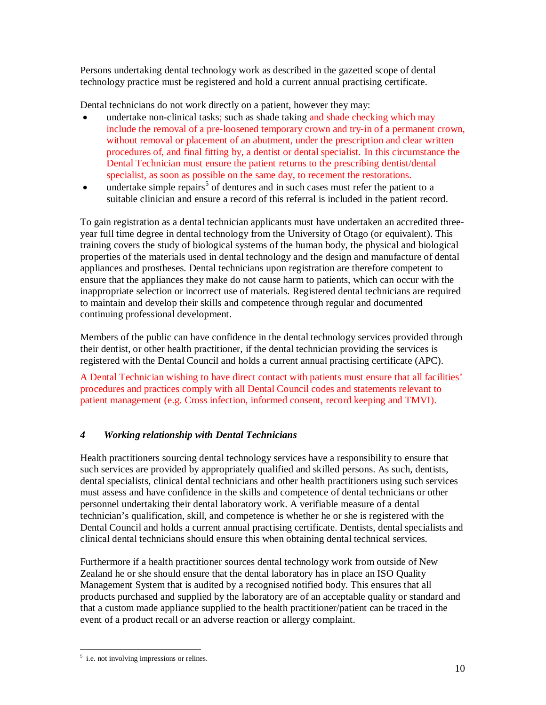Persons undertaking dental technology work as described in the gazetted scope of dental technology practice must be registered and hold a current annual practising certificate.

Dental technicians do not work directly on a patient, however they may:

- undertake non-clinical tasks; such as shade taking and shade checking which may include the removal of a pre-loosened temporary crown and try-in of a permanent crown, without removal or placement of an abutment, under the prescription and clear written procedures of, and final fitting by, a dentist or dental specialist.In this circumstance the Dental Technician must ensure the patient returns to the prescribing dentist/dental specialist, as soon as possible on the same day, to recement the restorations.
- $\bullet$  undertake simple repairs<sup>5</sup> of dentures and in such cases must refer the patient to a suitable clinician and ensure a record of this referral is included in the patient record.

To gain registration as a dental technician applicants must have undertaken an accredited threeyear full time degree in dental technology from the University of Otago (or equivalent). This training covers the study of biological systems of the human body, the physical and biological properties of the materials used in dental technology and the design and manufacture of dental appliances and prostheses. Dental technicians upon registration are therefore competent to ensure that the appliances they make do not cause harm to patients, which can occur with the inappropriate selection or incorrect use of materials. Registered dental technicians are required to maintain and develop their skills and competence through regular and documented continuing professional development.

Members of the public can have confidence in the dental technology services provided through their dentist, or other health practitioner, if the dental technician providing the services is registered with the Dental Council and holds a current annual practising certificate (APC).

A Dental Technician wishing to have direct contact with patients must ensure that all facilities' procedures and practices comply with all Dental Council codes and statements relevant to patient management (e.g. Cross infection, informed consent, record keeping and TMVI).

#### *4 Working relationship with Dental Technicians*

Health practitioners sourcing dental technology services have a responsibility to ensure that such services are provided by appropriately qualified and skilled persons. As such, dentists, dental specialists, clinical dental technicians and other health practitioners using such services must assess and have confidence in the skills and competence of dental technicians or other personnel undertaking their dental laboratory work. A verifiable measure of a dental technician's qualification, skill, and competence is whether he or she is registered with the Dental Council and holds a current annual practising certificate. Dentists, dental specialists and clinical dental technicians should ensure this when obtaining dental technical services.

Furthermore if a health practitioner sources dental technology work from outside of New Zealand he or she should ensure that the dental laboratory has in place an ISO Quality Management System that is audited by a recognised notified body. This ensures that all products purchased and supplied by the laboratory are of an acceptable quality or standard and that a custom made appliance supplied to the health practitioner/patient can be traced in the event of a product recall or an adverse reaction or allergy complaint.

<sup>-</sup><sup>5</sup> i.e. not involving impressions or relines.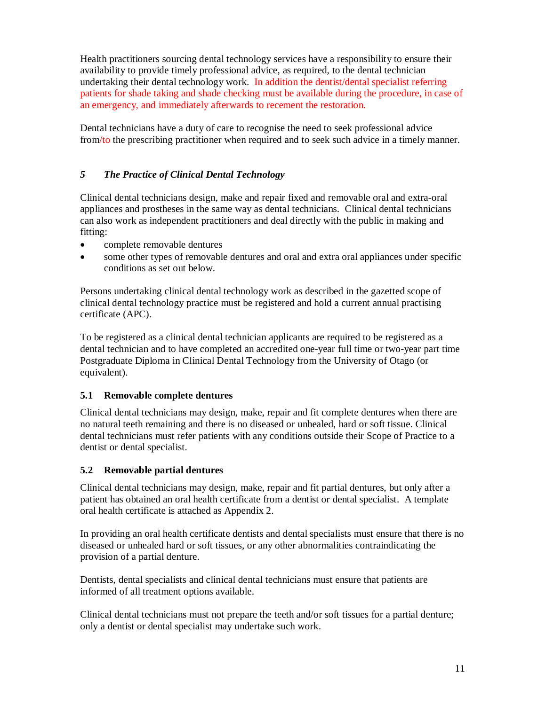Health practitioners sourcing dental technology services have a responsibility to ensure their availability to provide timely professional advice, as required, to the dental technician undertaking their dental technology work. In addition the dentist/dental specialist referring patients for shade taking and shade checking must be available during the procedure, in case of an emergency, and immediately afterwards to recement the restoration.

Dental technicians have a duty of care to recognise the need to seek professional advice from/to the prescribing practitioner when required and to seek such advice in a timely manner.

#### *5 The Practice of Clinical Dental Technology*

Clinical dental technicians design, make and repair fixed and removable oral and extra-oral appliances and prostheses in the same way as dental technicians. Clinical dental technicians can also work as independent practitioners and deal directly with the public in making and fitting:

- complete removable dentures
- some other types of removable dentures and oral and extra oral appliances under specific conditions as set out below.

Persons undertaking clinical dental technology work as described in the gazetted scope of clinical dental technology practice must be registered and hold a current annual practising certificate (APC).

To be registered as a clinical dental technician applicants are required to be registered as a dental technician and to have completed an accredited one-year full time or two-year part time Postgraduate Diploma in Clinical Dental Technology from the University of Otago (or equivalent).

#### **5.1 Removable complete dentures**

Clinical dental technicians may design, make, repair and fit complete dentures when there are no natural teeth remaining and there is no diseased or unhealed, hard or soft tissue. Clinical dental technicians must refer patients with any conditions outside their Scope of Practice to a dentist or dental specialist.

#### **5.2 Removable partial dentures**

Clinical dental technicians may design, make, repair and fit partial dentures, but only after a patient has obtained an oral health certificate from a dentist or dental specialist. A template oral health certificate is attached as Appendix 2.

In providing an oral health certificate dentists and dental specialists must ensure that there is no diseased or unhealed hard or soft tissues, or any other abnormalities contraindicating the provision of a partial denture.

Dentists, dental specialists and clinical dental technicians must ensure that patients are informed of all treatment options available.

Clinical dental technicians must not prepare the teeth and/or soft tissues for a partial denture; only a dentist or dental specialist may undertake such work.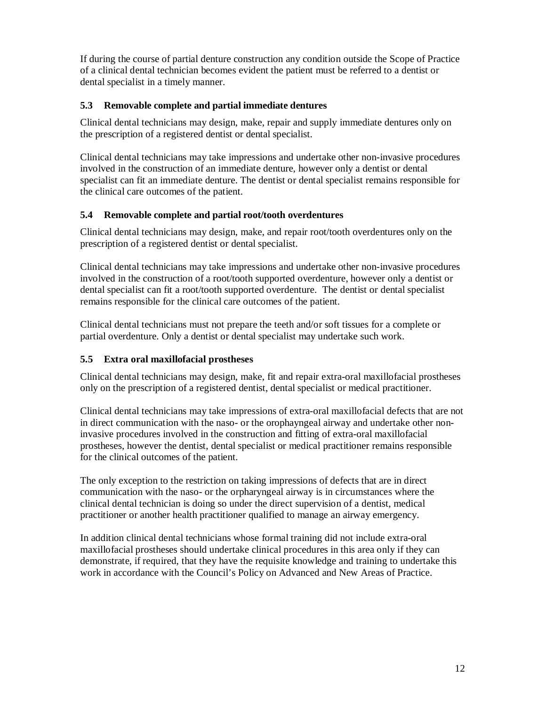If during the course of partial denture construction any condition outside the Scope of Practice of a clinical dental technician becomes evident the patient must be referred to a dentist or dental specialist in a timely manner.

#### **5.3 Removable complete and partial immediate dentures**

Clinical dental technicians may design, make, repair and supply immediate dentures only on the prescription of a registered dentist or dental specialist.

Clinical dental technicians may take impressions and undertake other non-invasive procedures involved in the construction of an immediate denture, however only a dentist or dental specialist can fit an immediate denture. The dentist or dental specialist remains responsible for the clinical care outcomes of the patient.

#### **5.4 Removable complete and partial root/tooth overdentures**

Clinical dental technicians may design, make, and repair root/tooth overdentures only on the prescription of a registered dentist or dental specialist.

Clinical dental technicians may take impressions and undertake other non-invasive procedures involved in the construction of a root/tooth supported overdenture, however only a dentist or dental specialist can fit a root/tooth supported overdenture. The dentist or dental specialist remains responsible for the clinical care outcomes of the patient.

Clinical dental technicians must not prepare the teeth and/or soft tissues for a complete or partial overdenture. Only a dentist or dental specialist may undertake such work.

#### **5.5 Extra oral maxillofacial prostheses**

Clinical dental technicians may design, make, fit and repair extra-oral maxillofacial prostheses only on the prescription of a registered dentist, dental specialist or medical practitioner.

Clinical dental technicians may take impressions of extra-oral maxillofacial defects that are not in direct communication with the naso- or the orophayngeal airway and undertake other noninvasive procedures involved in the construction and fitting of extra-oral maxillofacial prostheses, however the dentist, dental specialist or medical practitioner remains responsible for the clinical outcomes of the patient.

The only exception to the restriction on taking impressions of defects that are in direct communication with the naso- or the orpharyngeal airway is in circumstances where the clinical dental technician is doing so under the direct supervision of a dentist, medical practitioner or another health practitioner qualified to manage an airway emergency.

In addition clinical dental technicians whose formal training did not include extra-oral maxillofacial prostheses should undertake clinical procedures in this area only if they can demonstrate, if required, that they have the requisite knowledge and training to undertake this work in accordance with the Council's Policy on Advanced and New Areas of Practice.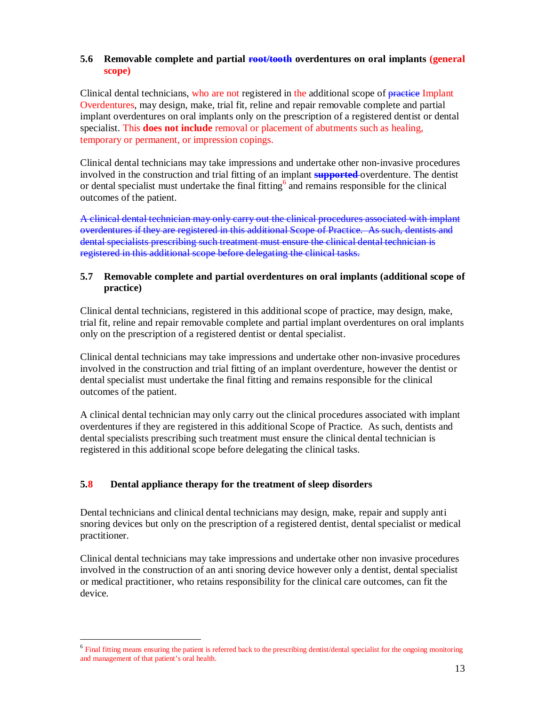#### **5.6** Removable complete and partial root/tooth overdentures on oral implants (general **scope)**

Clinical dental technicians, who are not registered in the additional scope of practice Implant Overdentures, may design, make, trial fit, reline and repair removable complete and partial implant overdentures on oral implants only on the prescription of a registered dentist or dental specialist. This **does not include** removal or placement of abutments such as healing, temporary or permanent, or impression copings.

Clinical dental technicians may take impressions and undertake other non-invasive procedures involved in the construction and trial fitting of an implant **supported** overdenture. The dentist or dental specialist must undertake the final fitting  $6$  and remains responsible for the clinical outcomes of the patient.

A clinical dental technician may only carry out the clinical procedures associated with implant overdentures if they are registered in this additional Scope of Practice. As such, dentists and dental specialists prescribing such treatment must ensure the clinical dental technician is registered in this additional scope before delegating the clinical tasks.

#### **5.7 Removable complete and partial overdentures on oral implants (additional scope of practice)**

Clinical dental technicians, registered in this additional scope of practice, may design, make, trial fit, reline and repair removable complete and partial implant overdentures on oral implants only on the prescription of a registered dentist or dental specialist.

Clinical dental technicians may take impressions and undertake other non-invasive procedures involved in the construction and trial fitting of an implant overdenture, however the dentist or dental specialist must undertake the final fitting and remains responsible for the clinical outcomes of the patient.

A clinical dental technician may only carry out the clinical procedures associated with implant overdentures if they are registered in this additional Scope of Practice. As such, dentists and dental specialists prescribing such treatment must ensure the clinical dental technician is registered in this additional scope before delegating the clinical tasks.

#### **5.8 Dental appliance therapy for the treatment of sleep disorders**

-

Dental technicians and clinical dental technicians may design, make, repair and supply anti snoring devices but only on the prescription of a registered dentist, dental specialist or medical practitioner.

Clinical dental technicians may take impressions and undertake other non invasive procedures involved in the construction of an anti snoring device however only a dentist, dental specialist or medical practitioner, who retains responsibility for the clinical care outcomes, can fit the device.

<sup>&</sup>lt;sup>6</sup> Final fitting means ensuring the patient is referred back to the prescribing dentist/dental specialist for the ongoing monitoring and management of that patient's oral health.